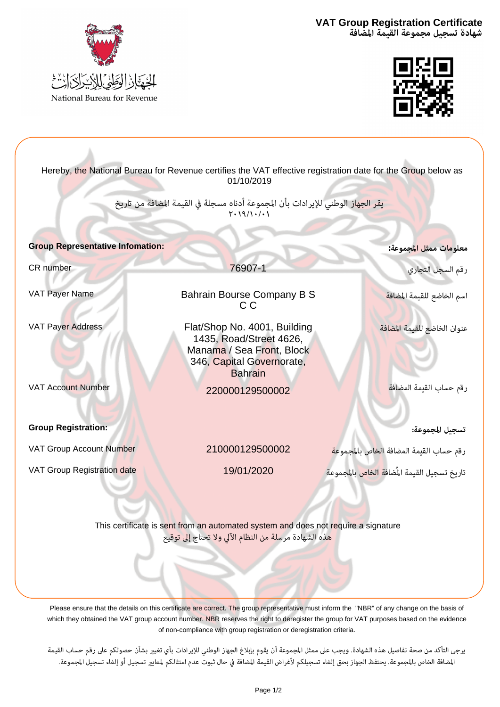**شهادة تسجيل مجموعة القيمة المضافة Certificate Registration Group VAT**





| Hereby, the National Bureau for Revenue certifies the VAT effective registration date for the Group below as<br>01/10/2019                                               |                                                                                                                                     |                                                           |  |  |  |  |
|--------------------------------------------------------------------------------------------------------------------------------------------------------------------------|-------------------------------------------------------------------------------------------------------------------------------------|-----------------------------------------------------------|--|--|--|--|
| يقر الجهاز الوطني للإيرادات بأن المجموعة أدناه مسجلة في القيمة المضافة من تاريخ<br>$Y \cdot 19/1 \cdot / \cdot 1$                                                        |                                                                                                                                     |                                                           |  |  |  |  |
| <b>Group Representative Infomation:</b>                                                                                                                                  |                                                                                                                                     | معلوم <mark>ات ممثل المجموعة:</mark>                      |  |  |  |  |
| CR number                                                                                                                                                                | 76907-1                                                                                                                             | .<br>رقم السجل التجاري                                    |  |  |  |  |
| VAT Payer Name                                                                                                                                                           | Bahrain Bourse Company B S<br>C C                                                                                                   | اسم الخاضع للقيمة المضافة                                 |  |  |  |  |
| <b>VAT Payer Address</b>                                                                                                                                                 | Flat/Shop No. 4001, Building<br>1435, Road/Street 4626,<br>Manama / Sea Front, Block<br>346, Capital Governorate,<br><b>Bahrain</b> | عنوان الخاضع للقيمة المضافة                               |  |  |  |  |
| <b>VAT Account Number</b>                                                                                                                                                | 220000129500002                                                                                                                     | رقم حساب القيمة المضافة                                   |  |  |  |  |
| <b>Group Registration:</b>                                                                                                                                               |                                                                                                                                     | تسجيل المجموعة:                                           |  |  |  |  |
| VAT Group Account Number                                                                                                                                                 | 210000129500002                                                                                                                     | رقم حساب القيمة المضافة الخاص بالمجموع <mark>ة</mark>     |  |  |  |  |
| VAT Group Registration date                                                                                                                                              | 19/01/2020                                                                                                                          | تاريخ تسجيل القيمة المُضاف <mark>ة الخاص</mark> بالمجموعة |  |  |  |  |
| This certificate is sent from an automated system and does not require a signature<br><mark>هذه الشهادة مرسلة من النظام الآلي ولا ت</mark> حتاج إل <mark>ى توق</mark> يع |                                                                                                                                     |                                                           |  |  |  |  |

Please ensure that the details on this certificate are correct. The group representative must inform the "NBR" of any change on the basis of which they obtained the VAT group account number. NBR reserves the right to deregister the group for VAT purposes based on the evidence

of non-compliance with group registration or deregistration criteria.<br>يرجى التأكد من صحة تفاصيل هذه الشهادة. ويجب على ممثل المجموعة أن يقوم بإبلاغ الجهاز الوطني للإيرادات بأي تغيير بشأن حصولكم على رقم حساب القيمة<br>المضافة